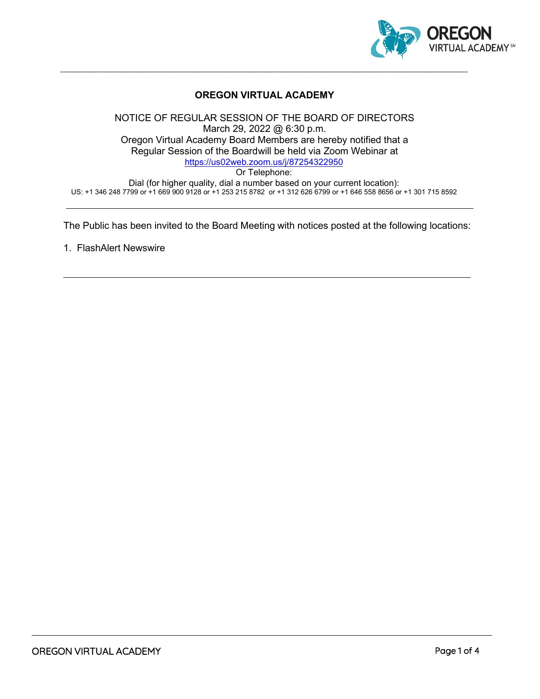

#### **OREGON VIRTUAL ACADEMY**

\_\_\_\_\_\_\_\_\_\_\_\_\_\_\_\_\_\_\_\_\_\_\_\_\_\_\_\_\_\_\_\_\_\_\_\_\_\_\_\_\_\_\_\_\_\_\_\_\_\_\_\_\_\_\_\_\_\_\_\_\_\_\_\_\_\_\_\_\_\_\_\_\_\_\_\_\_

#### NOTICE OF REGULAR SESSION OF THE BOARD OF DIRECTORS March 29, 2022 @ 6:30 p.m. Oregon Virtual Academy Board Members are hereby notified that a Regular Session of the Boardwill be held via Zoom Webinar at <https://us02web.zoom.us/j/87254322950> Or Telephone: Dial (for higher quality, dial a number based on your current location): US: +1 346 248 7799 or +1 669 900 9128 or +1 253 215 8782 or +1 312 626 6799 or +1 646 558 8656 or +1 301 715 8592

The Public has been invited to the Board Meeting with notices posted at the following locations:

1. FlashAlert Newswire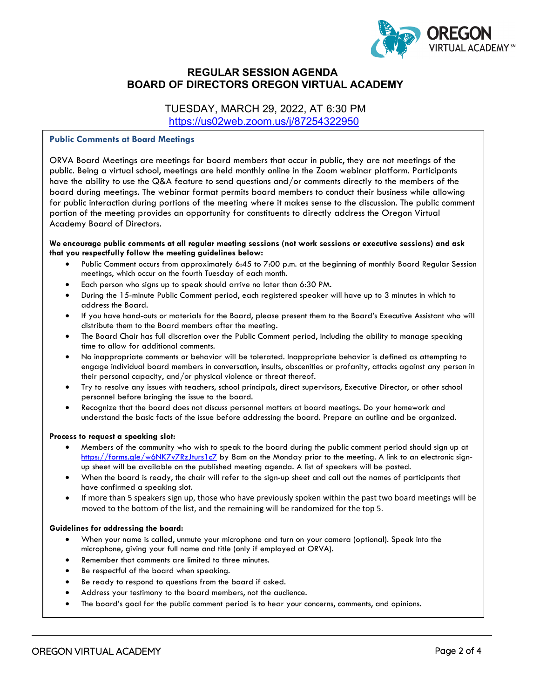

### **REGULAR SESSION AGENDA BOARD OF DIRECTORS OREGON VIRTUAL ACADEMY**

TUESDAY, MARCH 29, 2022, AT 6:30 PM <https://us02web.zoom.us/j/87254322950>

#### **Public Comments at Board Meetings**

ORVA Board Meetings are meetings for board members that occur in public, they are not meetings of the public. Being a virtual school, meetings are held monthly online in the Zoom webinar platform. Participants have the ability to use the Q&A feature to send questions and/or comments directly to the members of the board during meetings. The webinar format permits board members to conduct their business while allowing for public interaction during portions of the meeting where it makes sense to the discussion. The public comment portion of the meeting provides an opportunity for constituents to directly address the Oregon Virtual Academy Board of Directors.

#### **We encourage public comments at all regular meeting sessions (not work sessions or executive sessions) and ask that you respectfully follow the meeting guidelines below:**

- Public Comment occurs from approximately 6:45 to 7:00 p.m. at the beginning of monthly Board Regular Session meetings, which occur on the fourth Tuesday of each month.
- Each person who signs up to speak should arrive no later than 6:30 PM.
- During the 15-minute Public Comment period, each registered speaker will have up to 3 minutes in which to address the Board.
- If you have hand-outs or materials for the Board, please present them to the Board's Executive Assistant who will distribute them to the Board members after the meeting.
- The Board Chair has full discretion over the Public Comment period, including the ability to manage speaking time to allow for additional comments.
- No inappropriate comments or behavior will be tolerated. Inappropriate behavior is defined as attempting to engage individual board members in conversation, insults, obscenities or profanity, attacks against any person in their personal capacity, and/or physical violence or threat thereof.
- Try to resolve any issues with teachers, school principals, direct supervisors, Executive Director, or other school personnel before bringing the issue to the board.
- Recognize that the board does not discuss personnel matters at board meetings. Do your homework and understand the basic facts of the issue before addressing the board. Prepare an outline and be organized.

#### **Process to request a speaking slot:**

- Members of the community who wish to speak to the board during the public comment period should sign up at <https://forms.gle/w6NK7v7RzJturs1c7> by 8am on the Monday prior to the meeting. A link to an electronic signup sheet will be available on the published meeting agenda. A list of speakers will be posted.
- When the board is ready, the chair will refer to the sign-up sheet and call out the names of participants that have confirmed a speaking slot.
- If more than 5 speakers sign up, those who have previously spoken within the past two board meetings will be moved to the bottom of the list, and the remaining will be randomized for the top 5.

#### **Guidelines for addressing the board:**

- When your name is called, unmute your microphone and turn on your camera (optional). Speak into the microphone, giving your full name and title (only if employed at ORVA).
- Remember that comments are limited to three minutes.
- Be respectful of the board when speaking.
- Be ready to respond to questions from the board if asked.
- Address your testimony to the board members, not the audience.
- The board's goal for the public comment period is to hear your concerns, comments, and opinions.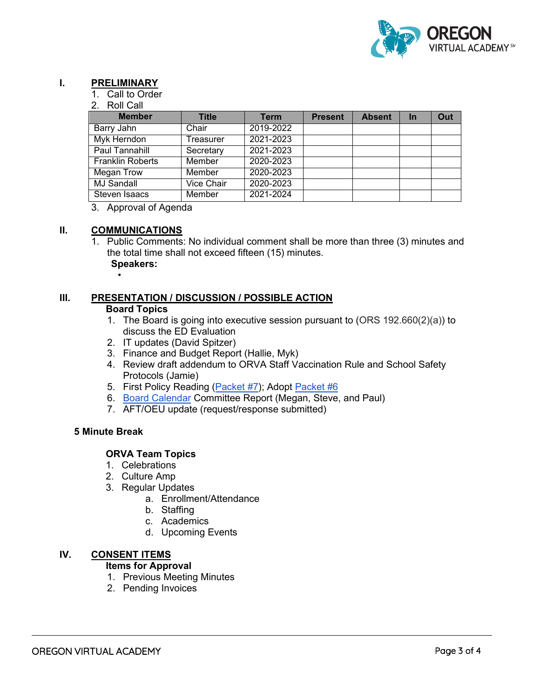

#### **I. PRELIMINARY**

- 1. Call to Order
- 2. Roll Call

| <b>Member</b>           | Title             | <b>Term</b> | <b>Present</b> | <b>Absent</b> | <b>In</b> | Out |
|-------------------------|-------------------|-------------|----------------|---------------|-----------|-----|
| Barry Jahn              | Chair             | 2019-2022   |                |               |           |     |
| Myk Herndon             | Treasurer         | 2021-2023   |                |               |           |     |
| <b>Paul Tannahill</b>   | Secretary         | 2021-2023   |                |               |           |     |
| <b>Franklin Roberts</b> | Member            | 2020-2023   |                |               |           |     |
| Megan Trow              | Member            | 2020-2023   |                |               |           |     |
| <b>MJ Sandall</b>       | <b>Vice Chair</b> | 2020-2023   |                |               |           |     |
| Steven Isaacs           | Member            | 2021-2024   |                |               |           |     |

3. Approval of Agenda

### **II. COMMUNICATIONS**

- 1. Public Comments: No individual comment shall be more than three (3) minutes and the total time shall not exceed fifteen (15) minutes.
	- **Speakers:** •

# **III. PRESENTATION / DISCUSSION / POSSIBLE ACTION Board Topics**

- 1. The Board is going into executive session pursuant to (ORS 192.660(2)(a)) to discuss the ED Evaluation
- 2. IT updates (David Spitzer)
- 3. Finance and Budget Report (Hallie, Myk)
- 4. Review draft addendum to ORVA Staff Vaccination Rule and School Safety Protocols (Jamie)
- 5. First Policy Reading [\(Packet #7\)](https://drive.google.com/drive/folders/1ovVyXYqnp4i1MJjhJ-FTh7Nk6Ce8DJow?usp=sharing); Adopt [Packet #6](https://drive.google.com/drive/folders/1CM7hFMR6riZ_Xd9d71jl9VWjYt6NuF4A?usp=sharing)
- 6. [Board Calendar](https://docs.google.com/document/d/1tVrSGJ6v5gCtv5NNlIoGCFS6zIGPmcuhm6aP9laESig/edit?usp=sharing) Committee Report (Megan, Steve, and Paul)
- 7. AFT/OEU update (request/response submitted)

#### **5 Minute Break**

### **ORVA Team Topics**

- 1. Celebrations
- 2. Culture Amp
- 3. Regular Updates
	- a. Enrollment/Attendance
	- b. Staffing
	- c. Academics
	- d. Upcoming Events

# **IV. CONSENT ITEMS**

**Items for Approval**

- 1. Previous Meeting Minutes
- 2. Pending Invoices